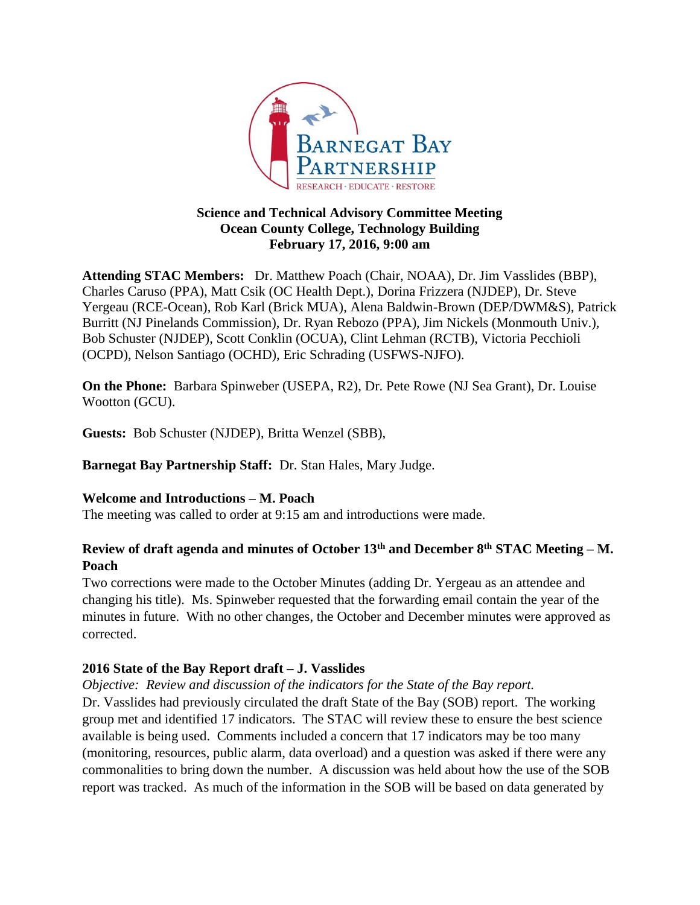

### **Science and Technical Advisory Committee Meeting Ocean County College, Technology Building February 17, 2016, 9:00 am**

**Attending STAC Members:** Dr. Matthew Poach (Chair, NOAA), Dr. Jim Vasslides (BBP), Charles Caruso (PPA), Matt Csik (OC Health Dept.), Dorina Frizzera (NJDEP), Dr. Steve Yergeau (RCE-Ocean), Rob Karl (Brick MUA), Alena Baldwin-Brown (DEP/DWM&S), Patrick Burritt (NJ Pinelands Commission), Dr. Ryan Rebozo (PPA), Jim Nickels (Monmouth Univ.), Bob Schuster (NJDEP), Scott Conklin (OCUA), Clint Lehman (RCTB), Victoria Pecchioli (OCPD), Nelson Santiago (OCHD), Eric Schrading (USFWS-NJFO).

**On the Phone:** Barbara Spinweber (USEPA, R2), Dr. Pete Rowe (NJ Sea Grant), Dr. Louise Wootton (GCU).

**Guests:** Bob Schuster (NJDEP), Britta Wenzel (SBB),

**Barnegat Bay Partnership Staff:** Dr. Stan Hales, Mary Judge.

## **Welcome and Introductions – M. Poach**

The meeting was called to order at 9:15 am and introductions were made.

# **Review of draft agenda and minutes of October 13th and December 8th STAC Meeting – M. Poach**

Two corrections were made to the October Minutes (adding Dr. Yergeau as an attendee and changing his title). Ms. Spinweber requested that the forwarding email contain the year of the minutes in future. With no other changes, the October and December minutes were approved as corrected.

## **2016 State of the Bay Report draft – J. Vasslides**

*Objective: Review and discussion of the indicators for the State of the Bay report.*

Dr. Vasslides had previously circulated the draft State of the Bay (SOB) report. The working group met and identified 17 indicators. The STAC will review these to ensure the best science available is being used. Comments included a concern that 17 indicators may be too many (monitoring, resources, public alarm, data overload) and a question was asked if there were any commonalities to bring down the number. A discussion was held about how the use of the SOB report was tracked. As much of the information in the SOB will be based on data generated by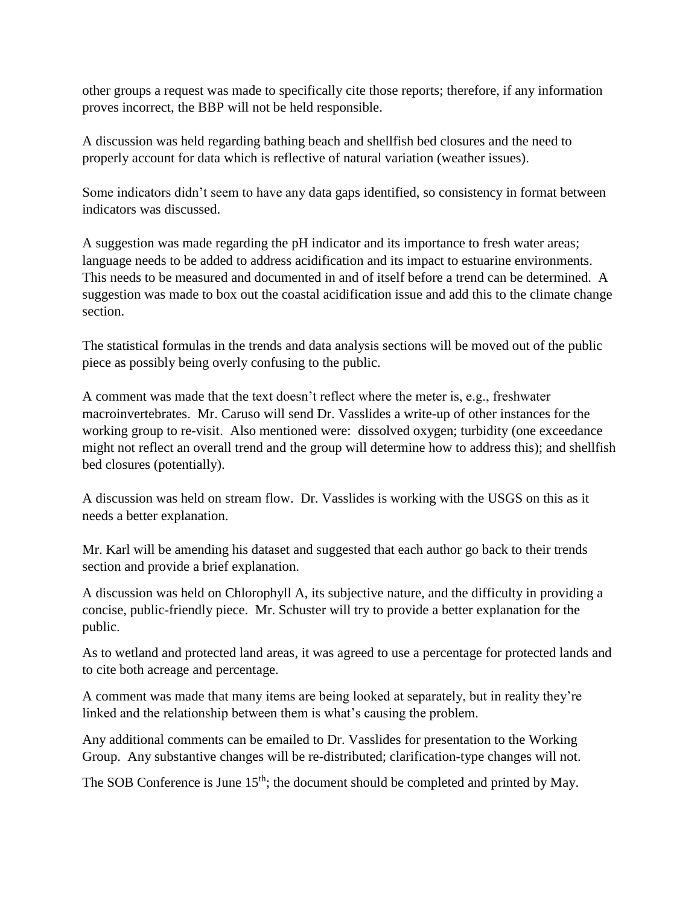other groups a request was made to specifically cite those reports; therefore, if any information proves incorrect, the BBP will not be held responsible.

A discussion was held regarding bathing beach and shellfish bed closures and the need to properly account for data which is reflective of natural variation (weather issues).

Some indicators didn't seem to have any data gaps identified, so consistency in format between indicators was discussed.

A suggestion was made regarding the pH indicator and its importance to fresh water areas; language needs to be added to address acidification and its impact to estuarine environments. This needs to be measured and documented in and of itself before a trend can be determined. A suggestion was made to box out the coastal acidification issue and add this to the climate change section.

The statistical formulas in the trends and data analysis sections will be moved out of the public piece as possibly being overly confusing to the public.

A comment was made that the text doesn't reflect where the meter is, e.g., freshwater macroinvertebrates. Mr. Caruso will send Dr. Vasslides a write-up of other instances for the working group to re-visit. Also mentioned were: dissolved oxygen; turbidity (one exceedance might not reflect an overall trend and the group will determine how to address this); and shellfish bed closures (potentially).

A discussion was held on stream flow. Dr. Vasslides is working with the USGS on this as it needs a better explanation.

Mr. Karl will be amending his dataset and suggested that each author go back to their trends section and provide a brief explanation.

A discussion was held on Chlorophyll A, its subjective nature, and the difficulty in providing a concise, public-friendly piece. Mr. Schuster will try to provide a better explanation for the public.

As to wetland and protected land areas, it was agreed to use a percentage for protected lands and to cite both acreage and percentage.

A comment was made that many items are being looked at separately, but in reality they're linked and the relationship between them is what's causing the problem.

Any additional comments can be emailed to Dr. Vasslides for presentation to the Working Group. Any substantive changes will be re-distributed; clarification-type changes will not.

The SOB Conference is June  $15<sup>th</sup>$ ; the document should be completed and printed by May.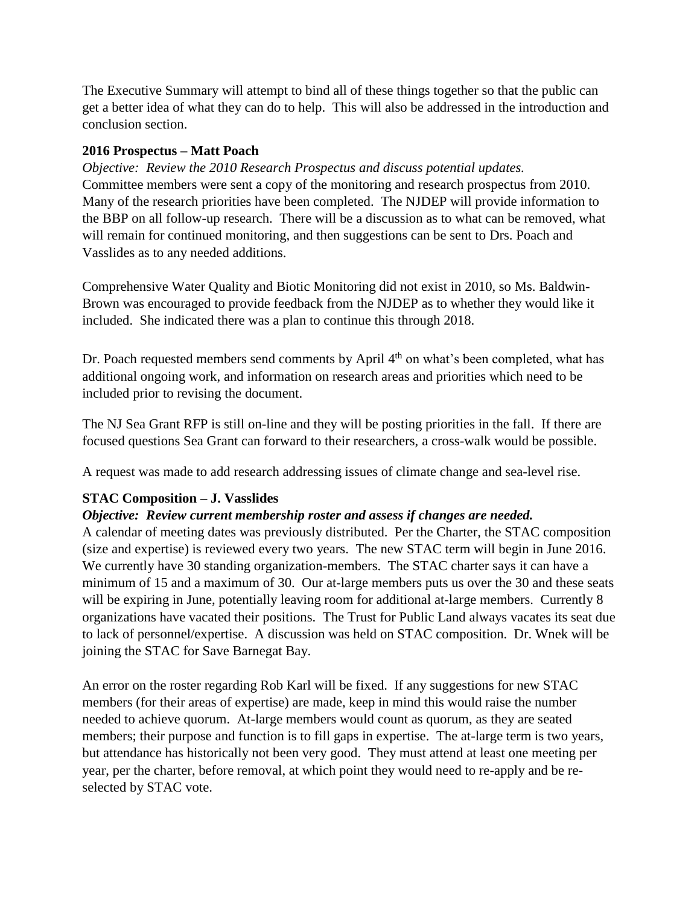The Executive Summary will attempt to bind all of these things together so that the public can get a better idea of what they can do to help. This will also be addressed in the introduction and conclusion section.

#### **2016 Prospectus – Matt Poach**

*Objective: Review the 2010 Research Prospectus and discuss potential updates.* Committee members were sent a copy of the monitoring and research prospectus from 2010. Many of the research priorities have been completed. The NJDEP will provide information to the BBP on all follow-up research. There will be a discussion as to what can be removed, what will remain for continued monitoring, and then suggestions can be sent to Drs. Poach and Vasslides as to any needed additions.

Comprehensive Water Quality and Biotic Monitoring did not exist in 2010, so Ms. Baldwin-Brown was encouraged to provide feedback from the NJDEP as to whether they would like it included. She indicated there was a plan to continue this through 2018.

Dr. Poach requested members send comments by April  $4<sup>th</sup>$  on what's been completed, what has additional ongoing work, and information on research areas and priorities which need to be included prior to revising the document.

The NJ Sea Grant RFP is still on-line and they will be posting priorities in the fall. If there are focused questions Sea Grant can forward to their researchers, a cross-walk would be possible.

A request was made to add research addressing issues of climate change and sea-level rise.

### **STAC Composition – J. Vasslides**

### *Objective: Review current membership roster and assess if changes are needed.*

A calendar of meeting dates was previously distributed. Per the Charter, the STAC composition (size and expertise) is reviewed every two years. The new STAC term will begin in June 2016. We currently have 30 standing organization-members. The STAC charter says it can have a minimum of 15 and a maximum of 30. Our at-large members puts us over the 30 and these seats will be expiring in June, potentially leaving room for additional at-large members. Currently 8 organizations have vacated their positions. The Trust for Public Land always vacates its seat due to lack of personnel/expertise. A discussion was held on STAC composition. Dr. Wnek will be joining the STAC for Save Barnegat Bay.

An error on the roster regarding Rob Karl will be fixed. If any suggestions for new STAC members (for their areas of expertise) are made, keep in mind this would raise the number needed to achieve quorum. At-large members would count as quorum, as they are seated members; their purpose and function is to fill gaps in expertise. The at-large term is two years, but attendance has historically not been very good. They must attend at least one meeting per year, per the charter, before removal, at which point they would need to re-apply and be reselected by STAC vote.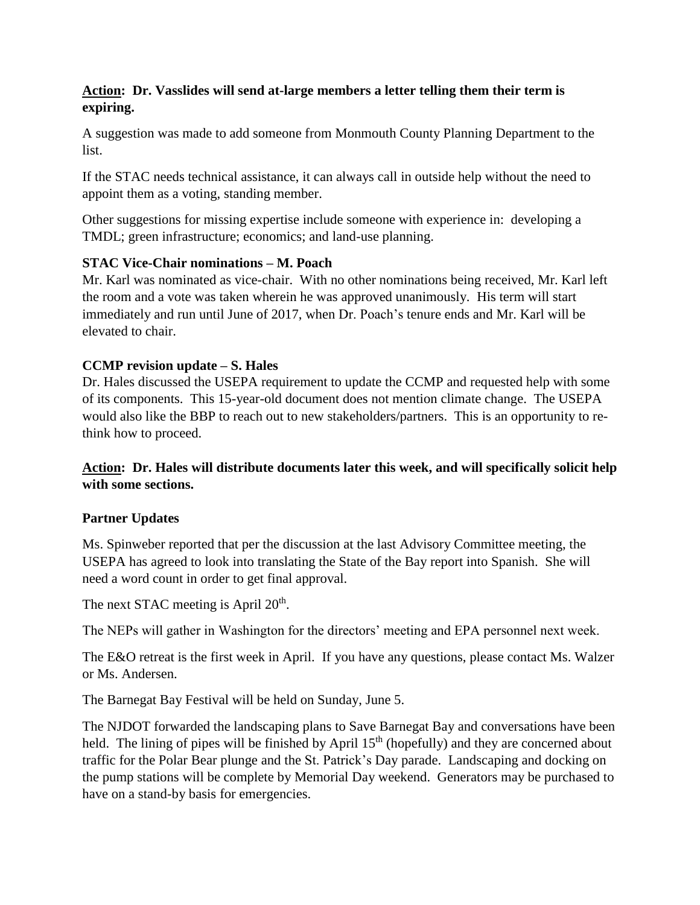### **Action: Dr. Vasslides will send at-large members a letter telling them their term is expiring.**

A suggestion was made to add someone from Monmouth County Planning Department to the list.

If the STAC needs technical assistance, it can always call in outside help without the need to appoint them as a voting, standing member.

Other suggestions for missing expertise include someone with experience in: developing a TMDL; green infrastructure; economics; and land-use planning.

### **STAC Vice-Chair nominations – M. Poach**

Mr. Karl was nominated as vice-chair. With no other nominations being received, Mr. Karl left the room and a vote was taken wherein he was approved unanimously. His term will start immediately and run until June of 2017, when Dr. Poach's tenure ends and Mr. Karl will be elevated to chair.

### **CCMP revision update – S. Hales**

Dr. Hales discussed the USEPA requirement to update the CCMP and requested help with some of its components. This 15-year-old document does not mention climate change. The USEPA would also like the BBP to reach out to new stakeholders/partners. This is an opportunity to rethink how to proceed.

## **Action: Dr. Hales will distribute documents later this week, and will specifically solicit help with some sections.**

## **Partner Updates**

Ms. Spinweber reported that per the discussion at the last Advisory Committee meeting, the USEPA has agreed to look into translating the State of the Bay report into Spanish. She will need a word count in order to get final approval.

The next STAC meeting is April  $20<sup>th</sup>$ .

The NEPs will gather in Washington for the directors' meeting and EPA personnel next week.

The E&O retreat is the first week in April. If you have any questions, please contact Ms. Walzer or Ms. Andersen.

The Barnegat Bay Festival will be held on Sunday, June 5.

The NJDOT forwarded the landscaping plans to Save Barnegat Bay and conversations have been held. The lining of pipes will be finished by April  $15<sup>th</sup>$  (hopefully) and they are concerned about traffic for the Polar Bear plunge and the St. Patrick's Day parade. Landscaping and docking on the pump stations will be complete by Memorial Day weekend. Generators may be purchased to have on a stand-by basis for emergencies.